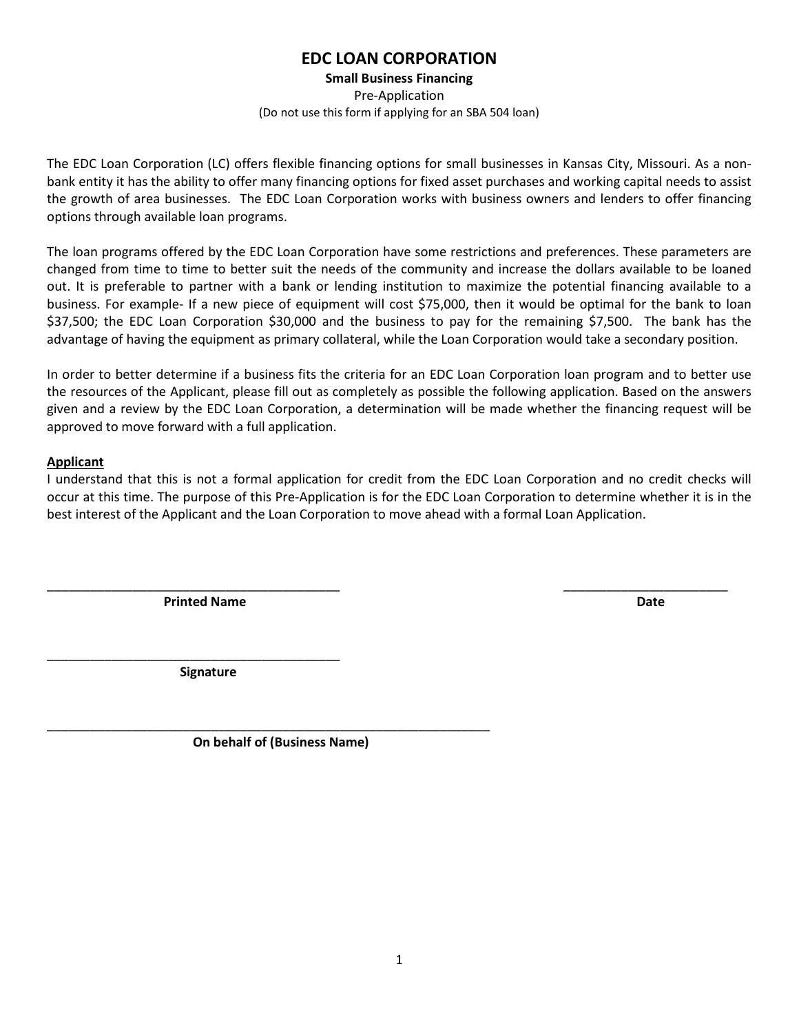## **EDC LOAN CORPORATION**

**Small Business Financing**

Pre-Application (Do not use this form if applying for an SBA 504 loan)

The EDC Loan Corporation (LC) offers flexible financing options for small businesses in Kansas City, Missouri. As a nonbank entity it has the ability to offer many financing options for fixed asset purchases and working capital needs to assist the growth of area businesses. The EDC Loan Corporation works with business owners and lenders to offer financing options through available loan programs.

The loan programs offered by the EDC Loan Corporation have some restrictions and preferences. These parameters are changed from time to time to better suit the needs of the community and increase the dollars available to be loaned out. It is preferable to partner with a bank or lending institution to maximize the potential financing available to a business. For example- If a new piece of equipment will cost \$75,000, then it would be optimal for the bank to loan \$37,500; the EDC Loan Corporation \$30,000 and the business to pay for the remaining \$7,500. The bank has the advantage of having the equipment as primary collateral, while the Loan Corporation would take a secondary position.

In order to better determine if a business fits the criteria for an EDC Loan Corporation loan program and to better use the resources of the Applicant, please fill out as completely as possible the following application. Based on the answers given and a review by the EDC Loan Corporation, a determination will be made whether the financing request will be approved to move forward with a full application.

## **Applicant**

I understand that this is not a formal application for credit from the EDC Loan Corporation and no credit checks will occur at this time. The purpose of this Pre-Application is for the EDC Loan Corporation to determine whether it is in the best interest of the Applicant and the Loan Corporation to move ahead with a formal Loan Application.

\_\_\_\_\_\_\_\_\_\_\_\_\_\_\_\_\_\_\_\_\_\_\_\_\_\_\_\_\_\_\_\_\_\_\_\_\_\_\_\_\_ \_\_\_\_\_\_\_\_\_\_\_\_\_\_\_\_\_\_\_\_\_\_\_

**Printed Name Date Date Date Date Date Date Date Date Date Date Date** 

 **Signature**

\_\_\_\_\_\_\_\_\_\_\_\_\_\_\_\_\_\_\_\_\_\_\_\_\_\_\_\_\_\_\_\_\_\_\_\_\_\_\_\_\_

\_\_\_\_\_\_\_\_\_\_\_\_\_\_\_\_\_\_\_\_\_\_\_\_\_\_\_\_\_\_\_\_\_\_\_\_\_\_\_\_\_\_\_\_\_\_\_\_\_\_\_\_\_\_\_\_\_\_\_\_\_\_  **On behalf of (Business Name)**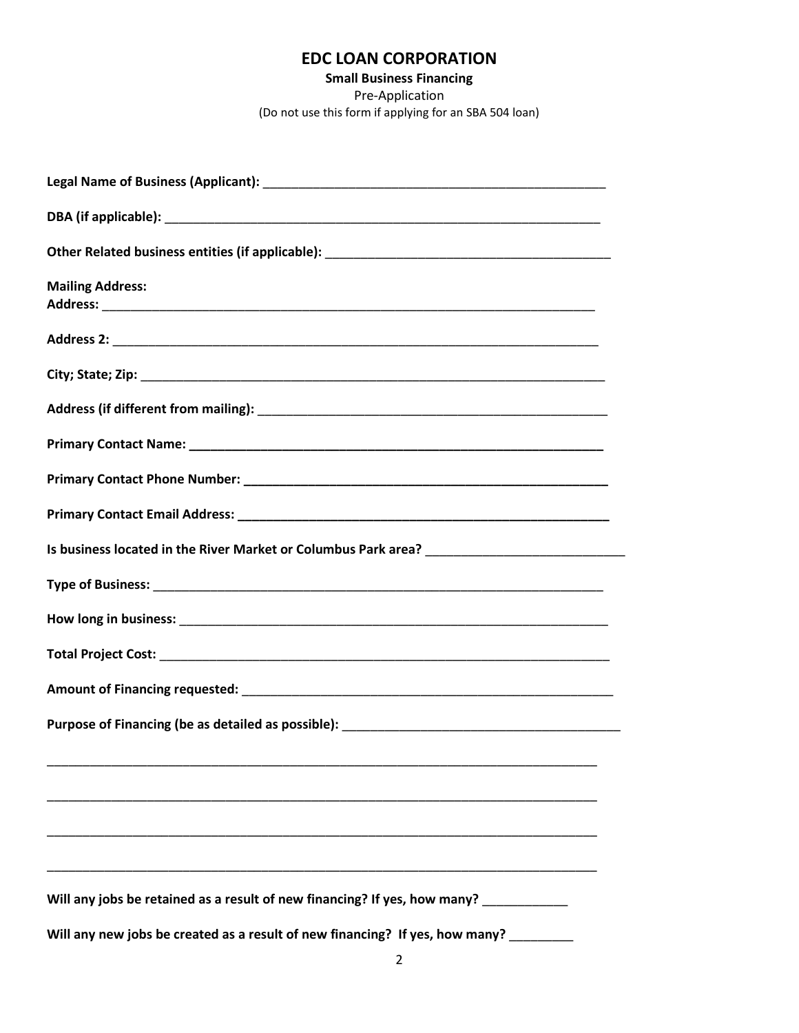## **EDC LOAN CORPORATION**

**Small Business Financing** Pre-Application (Do not use this form if applying for an SBA 504 loan)

| <b>Mailing Address:</b>                                                               |
|---------------------------------------------------------------------------------------|
|                                                                                       |
|                                                                                       |
|                                                                                       |
|                                                                                       |
|                                                                                       |
|                                                                                       |
|                                                                                       |
|                                                                                       |
|                                                                                       |
|                                                                                       |
|                                                                                       |
|                                                                                       |
|                                                                                       |
|                                                                                       |
|                                                                                       |
|                                                                                       |
|                                                                                       |
| Will any jobs be retained as a result of new financing? If yes, how many? ___________ |